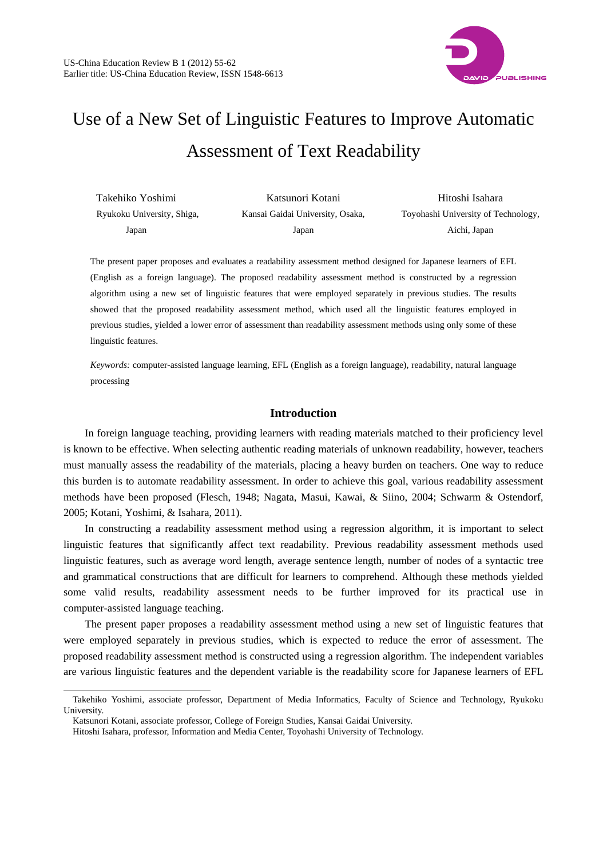

# Use of a New Set of Linguistic Features to Improve Automatic Assessment of Text Readability

| Takehiko Yoshimi           | Katsunori Kotani                 | Hitoshi Isahara                     |  |  |
|----------------------------|----------------------------------|-------------------------------------|--|--|
| Ryukoku University, Shiga, | Kansai Gaidai University, Osaka, | Toyohashi University of Technology, |  |  |
| Japan                      | Japan                            | Aichi, Japan                        |  |  |

The present paper proposes and evaluates a readability assessment method designed for Japanese learners of EFL (English as a foreign language). The proposed readability assessment method is constructed by a regression algorithm using a new set of linguistic features that were employed separately in previous studies. The results showed that the proposed readability assessment method, which used all the linguistic features employed in previous studies, yielded a lower error of assessment than readability assessment methods using only some of these linguistic features.

*Keywords:* computer-assisted language learning, EFL (English as a foreign language), readability, natural language processing

## **Introduction**

In foreign language teaching, providing learners with reading materials matched to their proficiency level is known to be effective. When selecting authentic reading materials of unknown readability, however, teachers must manually assess the readability of the materials, placing a heavy burden on teachers. One way to reduce this burden is to automate readability assessment. In order to achieve this goal, various readability assessment methods have been proposed (Flesch, 1948; Nagata, Masui, Kawai, & Siino, 2004; Schwarm & Ostendorf, 2005; Kotani, Yoshimi, & Isahara, 2011).

In constructing a readability assessment method using a regression algorithm, it is important to select linguistic features that significantly affect text readability. Previous readability assessment methods used linguistic features, such as average word length, average sentence length, number of nodes of a syntactic tree and grammatical constructions that are difficult for learners to comprehend. Although these methods yielded some valid results, readability assessment needs to be further improved for its practical use in computer-assisted language teaching.

The present paper proposes a readability assessment method using a new set of linguistic features that were employed separately in previous studies, which is expected to reduce the error of assessment. The proposed readability assessment method is constructed using a regression algorithm. The independent variables are various linguistic features and the dependent variable is the readability score for Japanese learners of EFL

l

Takehiko Yoshimi, associate professor, Department of Media Informatics, Faculty of Science and Technology, Ryukoku University.

Katsunori Kotani, associate professor, College of Foreign Studies, Kansai Gaidai University.

Hitoshi Isahara, professor, Information and Media Center, Toyohashi University of Technology.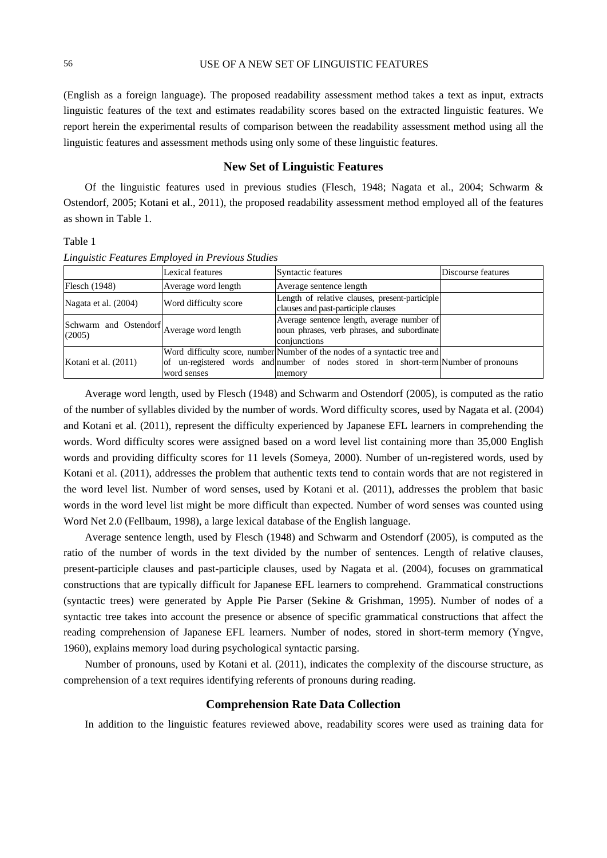(English as a foreign language). The proposed readability assessment method takes a text as input, extracts linguistic features of the text and estimates readability scores based on the extracted linguistic features. We report herein the experimental results of comparison between the readability assessment method using all the linguistic features and assessment methods using only some of these linguistic features.

# **New Set of Linguistic Features**

Of the linguistic features used in previous studies (Flesch, 1948; Nagata et al., 2004; Schwarm & Ostendorf, 2005; Kotani et al., 2011), the proposed readability assessment method employed all of the features as shown in Table 1.

# Table 1

|                                                          | Lexical features      | Syntactic features                                                                                                                                                        | Discourse features |
|----------------------------------------------------------|-----------------------|---------------------------------------------------------------------------------------------------------------------------------------------------------------------------|--------------------|
| Flesch (1948)                                            | Average word length   | Average sentence length                                                                                                                                                   |                    |
| Nagata et al. (2004)                                     | Word difficulty score | Length of relative clauses, present-participle<br>clauses and past-participle clauses                                                                                     |                    |
| [Schwarm and Ostendorf]<br>Average word length<br>(2005) |                       | Average sentence length, average number of<br>noun phrases, verb phrases, and subordinate<br>conjunctions                                                                 |                    |
| Kotani et al. (2011)                                     | word senses           | Word difficulty score, number Number of the nodes of a syntactic tree and<br>of un-registered words and number of nodes stored in short-term Number of pronouns<br>memory |                    |

*Linguistic Features Employed in Previous Studies* 

Average word length, used by Flesch (1948) and Schwarm and Ostendorf (2005), is computed as the ratio of the number of syllables divided by the number of words. Word difficulty scores, used by Nagata et al. (2004) and Kotani et al. (2011), represent the difficulty experienced by Japanese EFL learners in comprehending the words. Word difficulty scores were assigned based on a word level list containing more than 35,000 English words and providing difficulty scores for 11 levels (Someya, 2000). Number of un-registered words, used by Kotani et al. (2011), addresses the problem that authentic texts tend to contain words that are not registered in the word level list. Number of word senses, used by Kotani et al. (2011), addresses the problem that basic words in the word level list might be more difficult than expected. Number of word senses was counted using Word Net 2.0 (Fellbaum, 1998), a large lexical database of the English language.

Average sentence length, used by Flesch (1948) and Schwarm and Ostendorf (2005), is computed as the ratio of the number of words in the text divided by the number of sentences. Length of relative clauses, present-participle clauses and past-participle clauses, used by Nagata et al. (2004), focuses on grammatical constructions that are typically difficult for Japanese EFL learners to comprehend. Grammatical constructions (syntactic trees) were generated by Apple Pie Parser (Sekine & Grishman, 1995). Number of nodes of a syntactic tree takes into account the presence or absence of specific grammatical constructions that affect the reading comprehension of Japanese EFL learners. Number of nodes, stored in short-term memory (Yngve, 1960), explains memory load during psychological syntactic parsing.

Number of pronouns, used by Kotani et al. (2011), indicates the complexity of the discourse structure, as comprehension of a text requires identifying referents of pronouns during reading.

## **Comprehension Rate Data Collection**

In addition to the linguistic features reviewed above, readability scores were used as training data for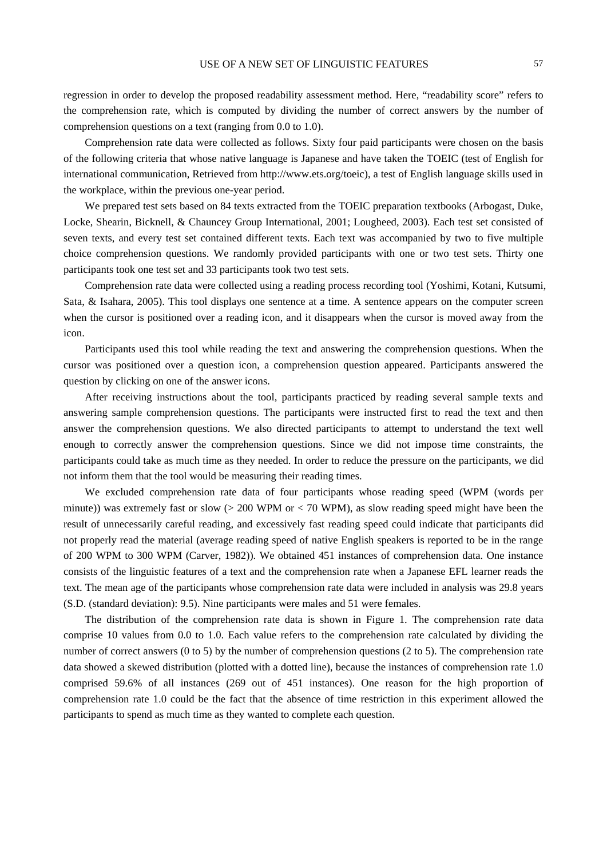regression in order to develop the proposed readability assessment method. Here, "readability score" refers to the comprehension rate, which is computed by dividing the number of correct answers by the number of comprehension questions on a text (ranging from 0.0 to 1.0).

Comprehension rate data were collected as follows. Sixty four paid participants were chosen on the basis of the following criteria that whose native language is Japanese and have taken the TOEIC (test of English for international communication, Retrieved from http://www.ets.org/toeic), a test of English language skills used in the workplace, within the previous one-year period.

We prepared test sets based on 84 texts extracted from the TOEIC preparation textbooks (Arbogast, Duke, Locke, Shearin, Bicknell, & Chauncey Group International, 2001; Lougheed, 2003). Each test set consisted of seven texts, and every test set contained different texts. Each text was accompanied by two to five multiple choice comprehension questions. We randomly provided participants with one or two test sets. Thirty one participants took one test set and 33 participants took two test sets.

Comprehension rate data were collected using a reading process recording tool (Yoshimi, Kotani, Kutsumi, Sata, & Isahara, 2005). This tool displays one sentence at a time. A sentence appears on the computer screen when the cursor is positioned over a reading icon, and it disappears when the cursor is moved away from the icon.

Participants used this tool while reading the text and answering the comprehension questions. When the cursor was positioned over a question icon, a comprehension question appeared. Participants answered the question by clicking on one of the answer icons.

After receiving instructions about the tool, participants practiced by reading several sample texts and answering sample comprehension questions. The participants were instructed first to read the text and then answer the comprehension questions. We also directed participants to attempt to understand the text well enough to correctly answer the comprehension questions. Since we did not impose time constraints, the participants could take as much time as they needed. In order to reduce the pressure on the participants, we did not inform them that the tool would be measuring their reading times.

We excluded comprehension rate data of four participants whose reading speed (WPM (words per minute)) was extremely fast or slow  $(> 200 \text{ WPM or } < 70 \text{ WPM})$ , as slow reading speed might have been the result of unnecessarily careful reading, and excessively fast reading speed could indicate that participants did not properly read the material (average reading speed of native English speakers is reported to be in the range of 200 WPM to 300 WPM (Carver, 1982)). We obtained 451 instances of comprehension data. One instance consists of the linguistic features of a text and the comprehension rate when a Japanese EFL learner reads the text. The mean age of the participants whose comprehension rate data were included in analysis was 29.8 years (S.D. (standard deviation): 9.5). Nine participants were males and 51 were females.

The distribution of the comprehension rate data is shown in Figure 1. The comprehension rate data comprise 10 values from 0.0 to 1.0. Each value refers to the comprehension rate calculated by dividing the number of correct answers (0 to 5) by the number of comprehension questions (2 to 5). The comprehension rate data showed a skewed distribution (plotted with a dotted line), because the instances of comprehension rate 1.0 comprised 59.6% of all instances (269 out of 451 instances). One reason for the high proportion of comprehension rate 1.0 could be the fact that the absence of time restriction in this experiment allowed the participants to spend as much time as they wanted to complete each question.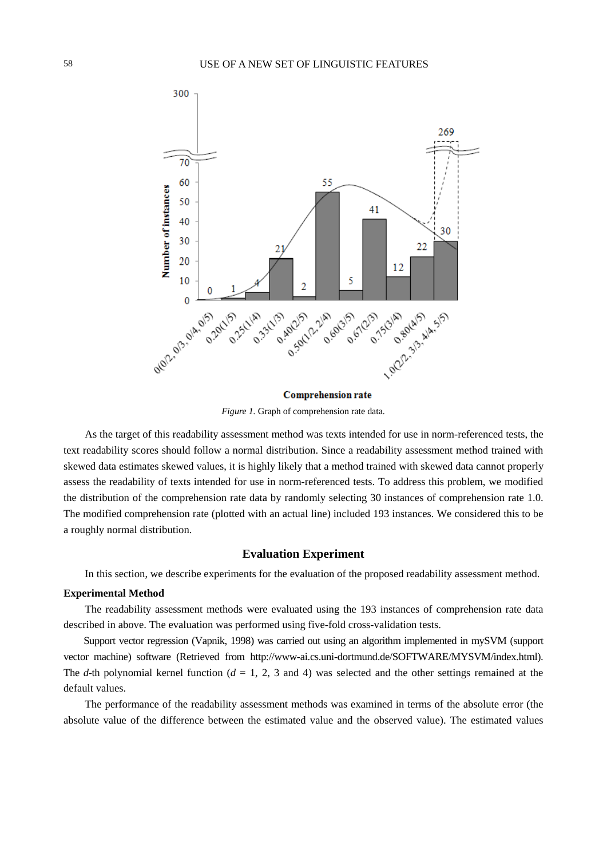

*Figure 1.* Graph of comprehension rate data.

As the target of this readability assessment method was texts intended for use in norm-referenced tests, the text readability scores should follow a normal distribution. Since a readability assessment method trained with skewed data estimates skewed values, it is highly likely that a method trained with skewed data cannot properly assess the readability of texts intended for use in norm-referenced tests. To address this problem, we modified the distribution of the comprehension rate data by randomly selecting 30 instances of comprehension rate 1.0. The modified comprehension rate (plotted with an actual line) included 193 instances. We considered this to be a roughly normal distribution.

## **Evaluation Experiment**

In this section, we describe experiments for the evaluation of the proposed readability assessment method.

#### **Experimental Method**

The readability assessment methods were evaluated using the 193 instances of comprehension rate data described in above. The evaluation was performed using five-fold cross-validation tests.

Support vector regression (Vapnik, 1998) was carried out using an algorithm implemented in mySVM (support vector machine) software (Retrieved from http://www-ai.cs.uni-dortmund.de/SOFTWARE/MYSVM/index.html). The *d*-th polynomial kernel function  $(d = 1, 2, 3 \text{ and } 4)$  was selected and the other settings remained at the default values.

The performance of the readability assessment methods was examined in terms of the absolute error (the absolute value of the difference between the estimated value and the observed value). The estimated values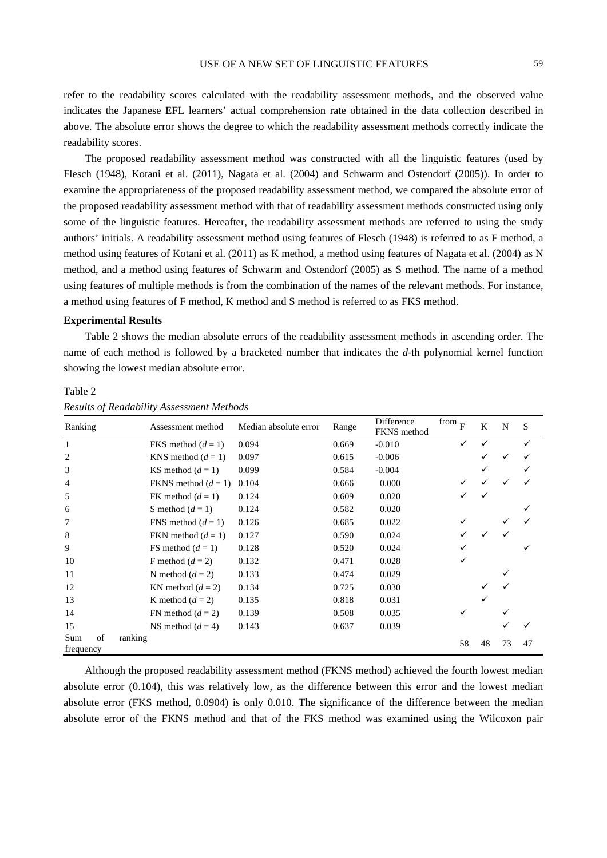refer to the readability scores calculated with the readability assessment methods, and the observed value indicates the Japanese EFL learners' actual comprehension rate obtained in the data collection described in above. The absolute error shows the degree to which the readability assessment methods correctly indicate the readability scores.

The proposed readability assessment method was constructed with all the linguistic features (used by Flesch (1948), Kotani et al. (2011), Nagata et al. (2004) and Schwarm and Ostendorf (2005)). In order to examine the appropriateness of the proposed readability assessment method, we compared the absolute error of the proposed readability assessment method with that of readability assessment methods constructed using only some of the linguistic features. Hereafter, the readability assessment methods are referred to using the study authors' initials. A readability assessment method using features of Flesch (1948) is referred to as F method, a method using features of Kotani et al. (2011) as K method, a method using features of Nagata et al. (2004) as N method, and a method using features of Schwarm and Ostendorf (2005) as S method. The name of a method using features of multiple methods is from the combination of the names of the relevant methods. For instance, a method using features of F method, K method and S method is referred to as FKS method.

#### **Experimental Results**

*Results of Readability Assessment Methods* 

Table 2 shows the median absolute errors of the readability assessment methods in ascending order. The name of each method is followed by a bracketed number that indicates the *d*-th polynomial kernel function showing the lowest median absolute error.

| Ranking                | Assessment method     | Median absolute error | Range | Difference<br>FKNS method | $\frac{1}{F}$ from $\frac{1}{F}$ | K  | N  | <sub>S</sub> |
|------------------------|-----------------------|-----------------------|-------|---------------------------|----------------------------------|----|----|--------------|
| $\mathbf{1}$           | FKS method $(d = 1)$  | 0.094                 | 0.669 | $-0.010$                  |                                  |    |    |              |
| 2                      | KNS method $(d=1)$    | 0.097                 | 0.615 | $-0.006$                  |                                  |    |    |              |
| 3                      | KS method $(d=1)$     | 0.099                 | 0.584 | $-0.004$                  |                                  |    |    |              |
| $\overline{4}$         | FKNS method $(d = 1)$ | 0.104                 | 0.666 | 0.000                     |                                  |    |    |              |
| 5                      | FK method $(d=1)$     | 0.124                 | 0.609 | 0.020                     |                                  |    |    |              |
| 6                      | S method $(d=1)$      | 0.124                 | 0.582 | 0.020                     |                                  |    |    |              |
| 7                      | FNS method $(d=1)$    | 0.126                 | 0.685 | 0.022                     |                                  |    |    |              |
| 8                      | FKN method $(d=1)$    | 0.127                 | 0.590 | 0.024                     |                                  |    |    |              |
| 9                      | FS method $(d=1)$     | 0.128                 | 0.520 | 0.024                     |                                  |    |    |              |
| 10                     | F method $(d=2)$      | 0.132                 | 0.471 | 0.028                     |                                  |    |    |              |
| 11                     | N method $(d = 2)$    | 0.133                 | 0.474 | 0.029                     |                                  |    |    |              |
| 12                     | KN method $(d = 2)$   | 0.134                 | 0.725 | 0.030                     |                                  |    |    |              |
| 13                     | K method $(d = 2)$    | 0.135                 | 0.818 | 0.031                     |                                  |    |    |              |
| 14                     | FN method $(d=2)$     | 0.139                 | 0.508 | 0.035                     |                                  |    |    |              |
| 15                     | NS method $(d = 4)$   | 0.143                 | 0.637 | 0.039                     |                                  |    |    |              |
| of<br>Sum<br>frequency | ranking               |                       |       |                           | 58                               | 48 | 73 | 47           |

Table 2

Although the proposed readability assessment method (FKNS method) achieved the fourth lowest median absolute error (0.104), this was relatively low, as the difference between this error and the lowest median absolute error (FKS method, 0.0904) is only 0.010. The significance of the difference between the median absolute error of the FKNS method and that of the FKS method was examined using the Wilcoxon pair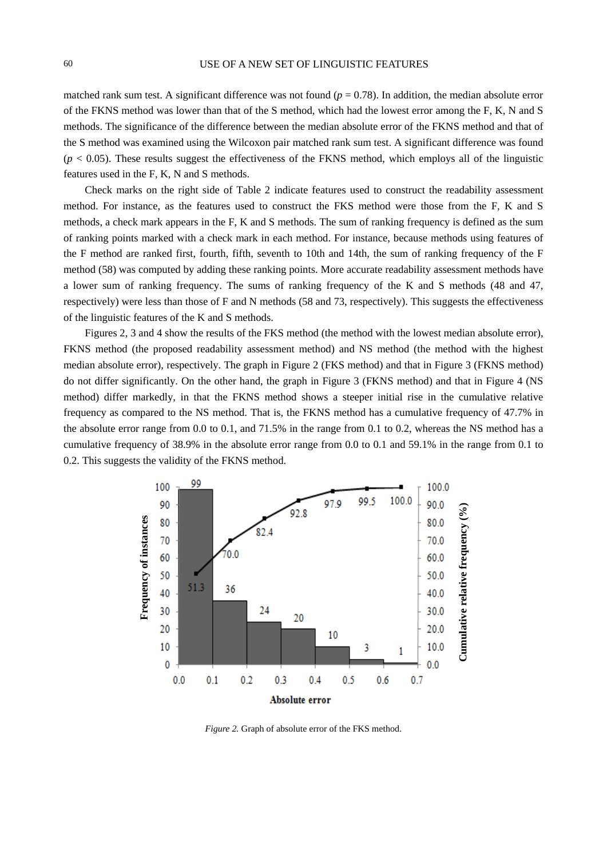matched rank sum test. A significant difference was not found  $(p = 0.78)$ . In addition, the median absolute error of the FKNS method was lower than that of the S method, which had the lowest error among the F, K, N and S methods. The significance of the difference between the median absolute error of the FKNS method and that of the S method was examined using the Wilcoxon pair matched rank sum test. A significant difference was found  $(p < 0.05)$ . These results suggest the effectiveness of the FKNS method, which employs all of the linguistic features used in the F, K, N and S methods.

Check marks on the right side of Table 2 indicate features used to construct the readability assessment method. For instance, as the features used to construct the FKS method were those from the F, K and S methods, a check mark appears in the F, K and S methods. The sum of ranking frequency is defined as the sum of ranking points marked with a check mark in each method. For instance, because methods using features of the F method are ranked first, fourth, fifth, seventh to 10th and 14th, the sum of ranking frequency of the F method (58) was computed by adding these ranking points. More accurate readability assessment methods have a lower sum of ranking frequency. The sums of ranking frequency of the K and S methods (48 and 47, respectively) were less than those of F and N methods (58 and 73, respectively). This suggests the effectiveness of the linguistic features of the K and S methods.

Figures 2, 3 and 4 show the results of the FKS method (the method with the lowest median absolute error), FKNS method (the proposed readability assessment method) and NS method (the method with the highest median absolute error), respectively. The graph in Figure 2 (FKS method) and that in Figure 3 (FKNS method) do not differ significantly. On the other hand, the graph in Figure 3 (FKNS method) and that in Figure 4 (NS method) differ markedly, in that the FKNS method shows a steeper initial rise in the cumulative relative frequency as compared to the NS method. That is, the FKNS method has a cumulative frequency of 47.7% in the absolute error range from 0.0 to 0.1, and 71.5% in the range from 0.1 to 0.2, whereas the NS method has a cumulative frequency of 38.9% in the absolute error range from 0.0 to 0.1 and 59.1% in the range from 0.1 to 0.2. This suggests the validity of the FKNS method.



*Figure 2.* Graph of absolute error of the FKS method.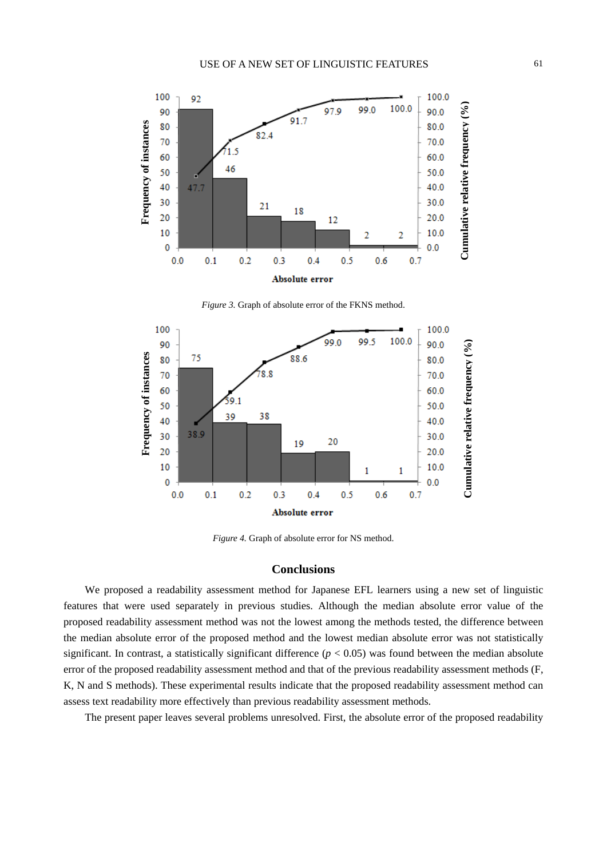

*Figure 3.* Graph of absolute error of the FKNS method.



*Figure 4.* Graph of absolute error for NS method.

## **Conclusions**

We proposed a readability assessment method for Japanese EFL learners using a new set of linguistic features that were used separately in previous studies. Although the median absolute error value of the proposed readability assessment method was not the lowest among the methods tested, the difference between the median absolute error of the proposed method and the lowest median absolute error was not statistically significant. In contrast, a statistically significant difference  $(p < 0.05)$  was found between the median absolute error of the proposed readability assessment method and that of the previous readability assessment methods (F, K, N and S methods). These experimental results indicate that the proposed readability assessment method can assess text readability more effectively than previous readability assessment methods.